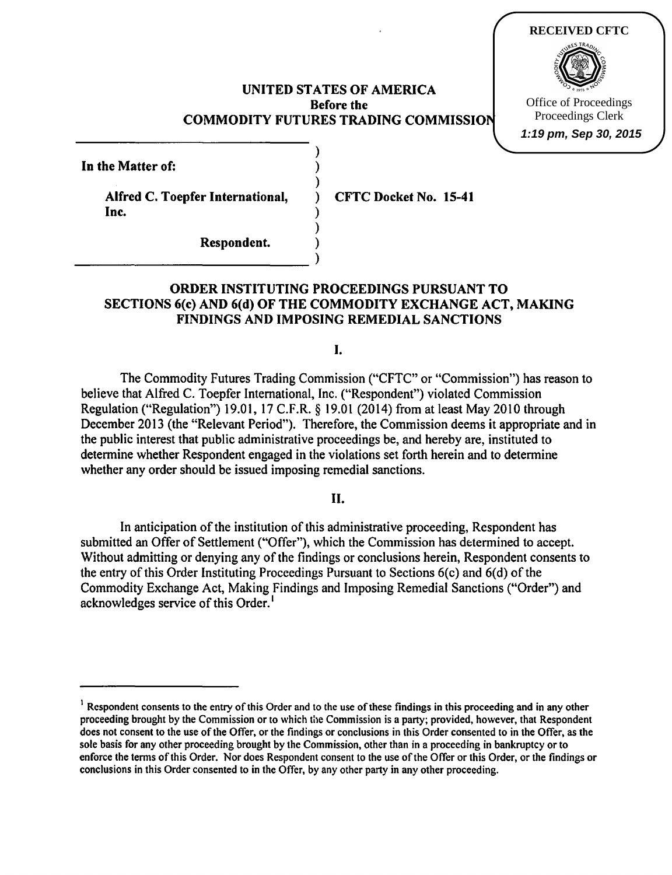### UNITED STATES OF AMERICA Before the COMMODITY FUTURES TRADING COMMISSION

)

)

)

 $\frac{2}{1}$ 

**RECEIVED CFTC**

Office of Proceedings Proceedings Clerk **1:19 pm, Sep 30, 2015**

In the Matter of:

Alfred C. Toepfer International, CFTC Docket No. 15-41  $\mathbf{Inc.}$  )

Respondent. (1)<br>
(1)

## ORDER INSTITUTING PROCEEDINGS PURSUANT TO SECTIONS 6(c) AND 6(d) OF THE COMMODITY EXCHANGE ACT, MAKING FINDINGS AND IMPOSING REMEDIAL SANCTIONS

I.

The Commodity Futures Trading Commission ("CFTC" or "Commission") has reason to believe that Alfred C. Toepfer International, Inc. ("Respondent") violated Commission Regulation ("Regulation") 19.01, 17 C.F.R. § 19.01 (2014) from at least May 2010 through December 2013 (the "Relevant Period"). Therefore, the Commission deems it appropriate and in the public interest that public administrative proceedings be, and hereby are, instituted to determine whether Respondent engaged in the violations set forth herein and to determine whether any order should be issued imposing remedial sanctions.

II.

In anticipation of the institution of this administrative proceeding, Respondent has submitted an Offer of Settlement ("Offer"), which the Commission has determined to accept. Without admitting or denying any of the findings or conclusions herein, Respondent consents to the entry of this Order Instituting Proceedings Pursuant to Sections  $6(c)$  and  $6(d)$  of the Commodity Exchange Act, Making Findings and Imposing Remedial Sanctions ("Order") and acknowledges service of this Order.<sup>1</sup>

<sup>&</sup>lt;sup>1</sup> Respondent consents to the entry of this Order and to the use of these findings in this proceeding and in any other proceeding brought by the Commission or to which the Commission is a party; provided, however, that Respondent does not consent to the use of the Offer, or the findings or conclusions in this Order consented to in the Offer, as the sole basis for any other proceeding brought by the Commission, other than in a proceeding in bankruptcy or to enforce the tenns of this Order. Nor does Respondent consent to the use ofthe Offer or this Order, or the findings or conclusions in this Order consented to in the Offer, by any other party in any other proceeding.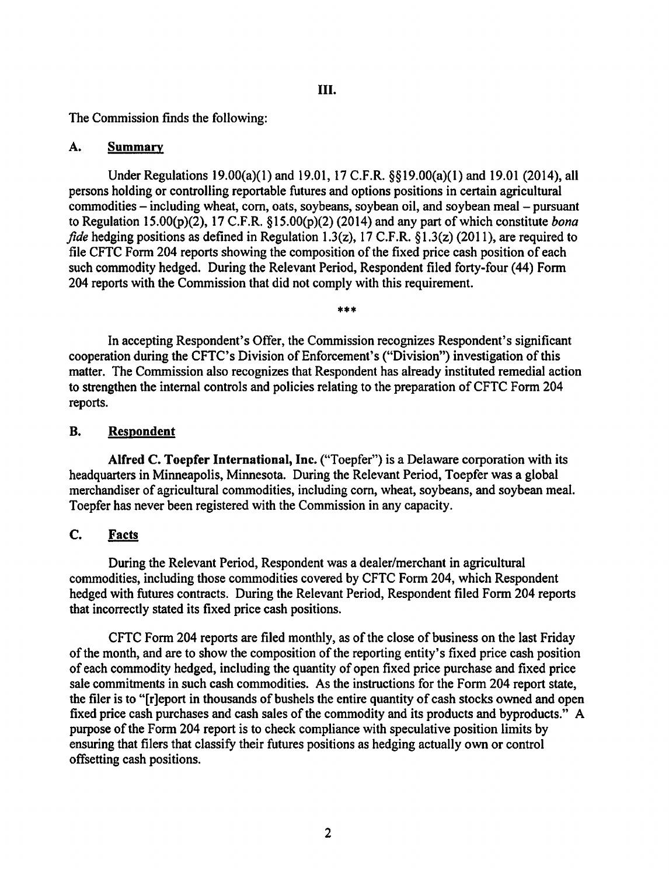The Commission finds the following:

### A. Summary

Under Regulations 19.00(a)(1) and 19.01, 17 C.F.R. §§19.00(a)(1) and 19.01 (2014), all persons holding or controlling reportable futures and options positions in certain agricultural commodities – including wheat, corn, oats, soybeans, soybean oil, and soybean meal – pursuant to Regulation 15.00(p)(2), 17 C.F.R. §15.00(p)(2) (2014) and any part of which constitute *bona fide* hedging positions as defined in Regulation 1.3(z), 17 C.F.R. §1.3(z) (2011), are required to file CFTC Form 204 reports showing the composition of the fixed price cash position of each such commodity hedged. During the Relevant Period, Respondent filed forty-four (44) Form 204 reports with the Commission that did not comply with this requirement.

\*\*\*

In accepting Respondent's Offer, the Commission recognizes Respondent's significant cooperation during the CFTC's Division of Enforcement's ("Division") investigation of this matter. The Commission also recognizes that Respondent has already instituted remedial action to strengthen the internal controls and policies relating to the preparation of CFTC Form 204 reports.

## B. Respondent

Alfred C. Toepfer International, Inc. ("Toepfer") is a Delaware corporation with its headquarters in Minneapolis, Minnesota. During the Relevant Period, Toepfer was a global merchandiser of agricultural commodities, including com, wheat, soybeans, and soybean meal. Toepfer has never been registered with the Commission in any capacity.

# C. Facts

During the Relevant Period, Respondent was a dealer/merchant in agricultural commodities, including those commodities covered by CFTC Form 204, which Respondent hedged with futures contracts. During the Relevant Period, Respondent filed Form 204 reports that incorrectly stated its fixed price cash positions.

CFTC Form 204 reports are filed monthly, as of the close of business on the last Friday of the month, and are to show the composition of the reporting entity's fixed price cash position of each commodity hedged, including the quantity of open fixed price purchase and fixed price sale commitments in such cash commodities. As the instructions for the Form 204 report state, the filer is to "[r]eport in thousands of bushels the entire quantity of cash stocks owned and open fixed price cash purchases and cash sales of the commodity and its products and byproducts." A purpose of the Form 204 report is to check compliance with speculative position limits by ensuring that filers that classify their futures positions as hedging actually own or control offsetting cash positions.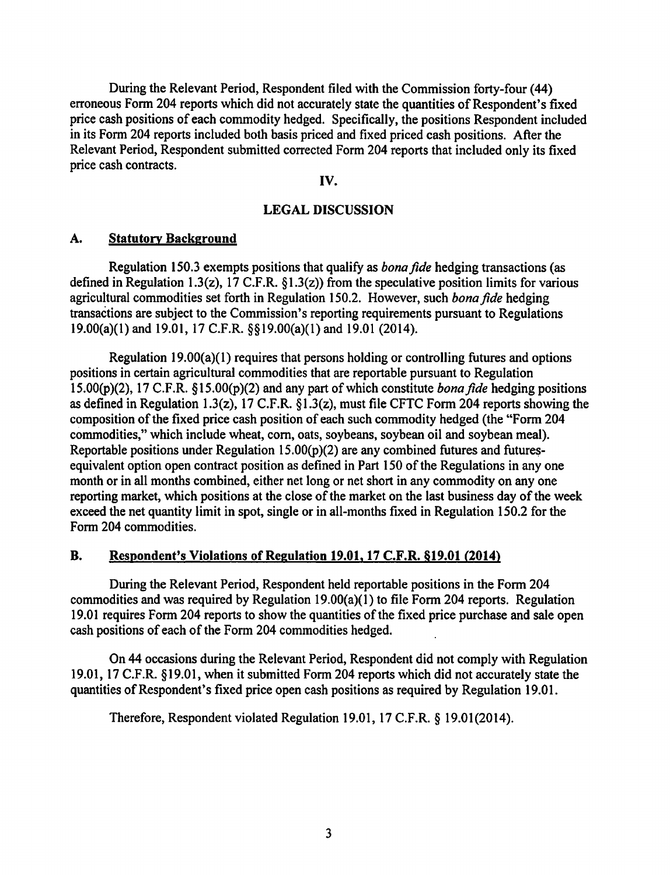During the Relevant Period, Respondent filed with the Commission forty-four (44) erroneous Form 204 reports which did not accurately state the quantities of Respondent's fixed price cash positions of each commodity hedged. Specifically, the positions Respondent included in its Form 204 reports included both basis priced and fixed priced cash positions. After the Relevant Period, Respondent submitted corrected Form 204 reports that included only its fixed price cash contracts.

#### IV.

## LEGAL DISCUSSION

#### A. Statutory Background

Regulation 150.3 exempts positions that qualify as *bonafide* hedging transactions (as defined in Regulation 1.3(z), 17 C.F.R.  $\S1.3(z)$  from the speculative position limits for various agricultural commodities set forth in Regulation 150.2. However, such *bona fide* hedging transactions are subject to the Commission's reporting requirements pursuant to Regulations 19.00(a)(1) and 19.01, 17 C.F.R. §§19.00(a)(1) and 19.01 (2014).

Regulation 19.00(a)(1) requires that persons holding or controlling futures and options positions in certain agricultural commodities that are reportable pursuant to Regulation 15.00(p)(2), 17 C.F.R. § 15.00(p)(2) and any part of which constitute *bonafide* hedging positions as defined in Regulation 1.3(z), 17 C.F.R. § 1.3(z), must file CFTC Form 204 reports showing the composition of the fixed price cash position of each such commodity hedged (the "Form 204 commodities," which include wheat, corn, oats, soybeans, soybean oil and soybean meal). Reportable positions under Regulation  $15.00(p)(2)$  are any combined futures and futuresequivalent option open contract position as defined in Part 150 of the Regulations in any one month or in all months combined, either net long or net short in any commodity on any one reporting market, which positions at the close of the market on the last business day of the week exceed the net quantity limit in spot, single or in all-months fixed in Regulation 150.2 for the Form 204 commodities.

## B. Respondent's Violations of Regulation 19.01, 17 C.F.R. §19.01 (2014)

During the Relevant Period, Respondent held reportable positions in the Form 204 commodities and was required by Regulation 19.00(a)(1) to file Form 204 reports. Regulation 19.01 requires Form 204 reports to show the quantities of the fixed price purchase and sale open cash positions of each of the Form 204 commodities hedged.

On 44 occasions during the Relevant Period, Respondent did not comply with Regulation 19.01, 17 C.F.R. §19.01, when it submitted Form 204 reports which did not accurately state the quantities of Respondent's fixed price open cash positions as required by Regulation 19.01.

Therefore, Respondent violated Regulation 19.01, 17 C.F.R. § 19.01(2014).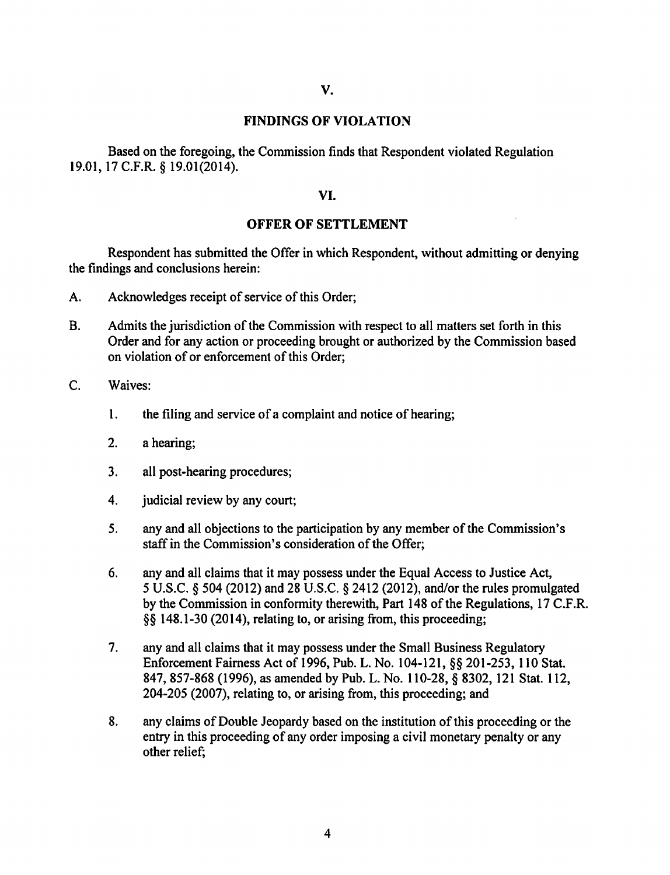#### FINDINGS OF VIOLATION

Based on the foregoing, the Commission finds that Respondent violated Regulation 19.01, 17 C.F.R. § 19.01(2014).

### VI.

#### OFFER OF SETTLEMENT

Respondent has submitted the Offer in which Respondent, without admitting or denying the findings and conclusions herein:

- A. Acknowledges receipt of service of this Order;
- B. Admits the jurisdiction of the Commission with respect to all matters set forth in this Order and for any action or proceeding brought or authorized by the Commission based on violation of or enforcement of this Order;
- C. Waives:
	- 1. the filing and service of a complaint and notice of hearing;
	- 2. a hearing;
	- 3. all post-hearing procedures;
	- 4. **i** judicial review by any court;
	- 5. any and all objections to the participation by any member of the Commission's staff in the Commission's consideration of the Offer;
	- 6. any and all claims that it may possess under the Equal Access to Justice Act, *5* U.S.C. § 504 (2012) and 28 U.S.C. § 2412 (2012), and/or the rules promulgated by the Commission in conformity therewith, Part 148 of the Regulations, 17 C.F.R. §§ 148.1-30 (2014), relating to, or arising from, this proceeding;
	- 7. any and all claims that it may possess under the Small Business Regulatory Enforcement Fairness Act of 1996, Pub. L. No. 104-121, §§ 201-253, 110 Stat. 847, 857-868 (1996), as amended by Pub. L. No. 110-28, § 8302, 121 Stat. 112, 204-205 (2007), relating to, or arising from, this proceeding; and
	- 8. any claims of Double Jeopardy based on the institution of this proceeding or the entry in this proceeding of any order imposing a civil monetary penalty or any other relief;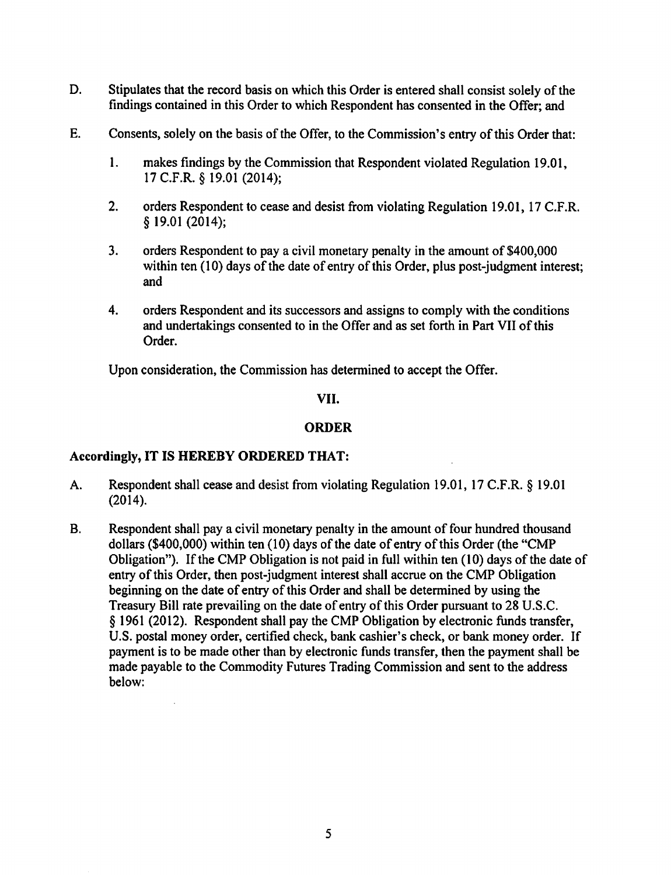- D. Stipulates that the record basis on which this Order is entered shall consist solely of the findings contained in this Order to which Respondent has consented in the Offer; and
- E. Consents, solely on the basis of the Offer, to the Commission's entry of this Order that:
	- 1. makes findings by the Commission that Respondent violated Regulation 19.01, 17 C.F.R. § I9.0I (20I4);
	- 2. orders Respondent to cease and desist from violating Regulation 19.01, 17 C.F.R. § 19.0I (2014);
	- 3. orders Respondent to pay a civil monetary penalty in the amount of \$400,000 within ten  $(10)$  days of the date of entry of this Order, plus post-judgment interest; and
	- 4. orders Respondent and its successors and assigns to comply with the conditions and undertakings consented to in the Offer and as set forth in Part VII of this Order.

Upon consideration, the Commission has determined to accept the Offer.

## VII.

### ORDER

#### Accordingly, IT IS HEREBY ORDERED THAT:

- A. Respondent shall cease and desist from violating Regulation 19.01, 17 C.F.R. § 19.01 (2014).
- B. Respondent shall pay a civil monetary penalty in the amount of four hundred thousand dollars (\$400,000) within ten  $(10)$  days of the date of entry of this Order (the "CMP Obligation"). If the CMP Obligation is not paid in full within ten  $(10)$  days of the date of entry of this Order, then post-judgment interest shall accrue on the CMP Obligation beginning on the date of entry of this Order and shall be determined by using the Treasury Bill rate prevailing on the date of entry of this Order pursuant to 28 U.S.C. § 1961 (2012). Respondent shall pay the CMP Obligation by electronic funds transfer, U.S. postal money order, certified check, bank cashier's check, or bank money order. If payment is to be made other than by electronic funds transfer, then the payment shall be made payable to the Commodity Futures Trading Commission and sent to the address below: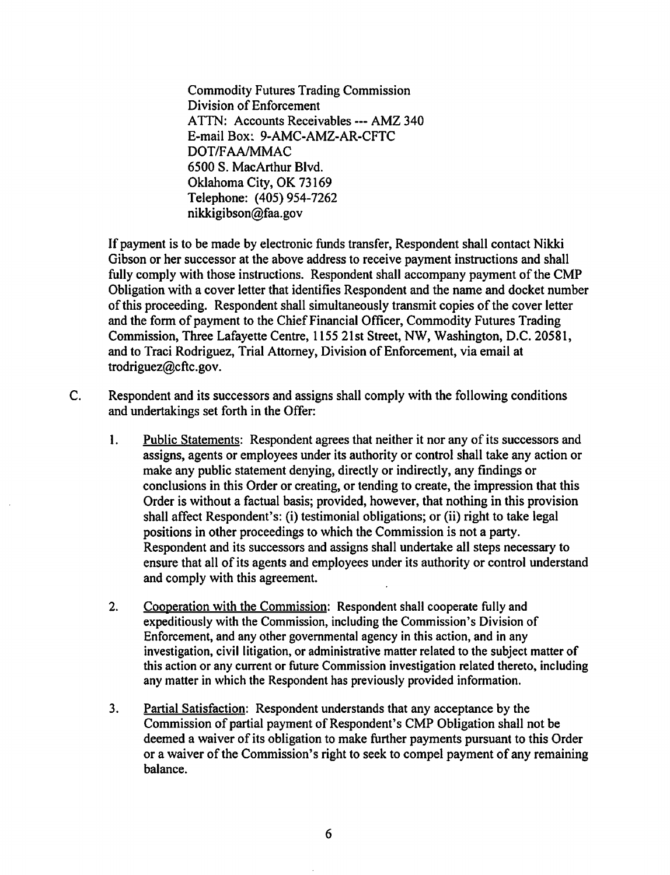Commodity Futures Trading Commission Division of Enforcement ATTN: Accounts Receivables--- AMZ 340 E-mail Box~ 9-AMC-AMZ-AR-CFTC DOT*IF*AA/MMAC 6500 S. MacArthur Blvd. Oklahoma City, OK 73169 Telephone: (405) 954-7262 nikkigibson@faa.gov

If payment is to be made by electronic funds transfer, Respondent shall contact Nikki Gibson or her successor at the above address to receive payment instructions and shall fully comply with those instructions. Respondent shall accompany payment of the CMP Obligation with a cover letter that identifies Respondent and the name and docket number ofthis proceeding. Respondent shall simultaneously transmit copies of the cover letter and the form of payment to the Chief Financial Officer, Commodity Futures Trading Commission, Three Lafayette Centre, 1155 21st Street, NW, Washington, D.C. 20581, and to Traci Rodriguez, Trial Attorney, Division of Enforcement, via email at trodriguez@cftc.gov.

- C. Respondent and its successors and assigns shall comply with the following conditions and undertakings set forth in the Offer:
	- I. Public Statements: Respondent agrees that neither it nor any of its successors and assigns, agents or employees under its authority or control shall take any action or make any public statement denying, directly or indirectly, any findings or conclusions in this Order or creating, or tending to create, the impression that this Order is without a factual basis; provided, however, that nothing in this provision shall affect Respondent's: (i) testimonial obligations; or (ii) right to take legal positions in other proceedings to which the Commission is not a party. Respondent and its successors and assigns shall undertake all steps necessary to ensure that all of its agents and employees under its authority or control understand and comply with this agreement.
	- 2. Cooperation with the Commission: Respondent shall cooperate fully and expeditiously with the Commission, including the Commission's Division of Enforcement, and any other governmental agency in this action, and in any investigation, civil litigation, or administrative matter related to the subject matter of this action or any current or future Commission investigation related thereto, including any matter in which the Respondent has previously provided information.
	- 3. Partial Satisfaction: Respondent understands that any acceptance by the Commission of partial payment of Respondent's CMP Obligation shall not be deemed a waiver of its obligation to make further payments pursuant to this Order or a waiver of the Commission's right to seek to compel payment of any remaining balance.